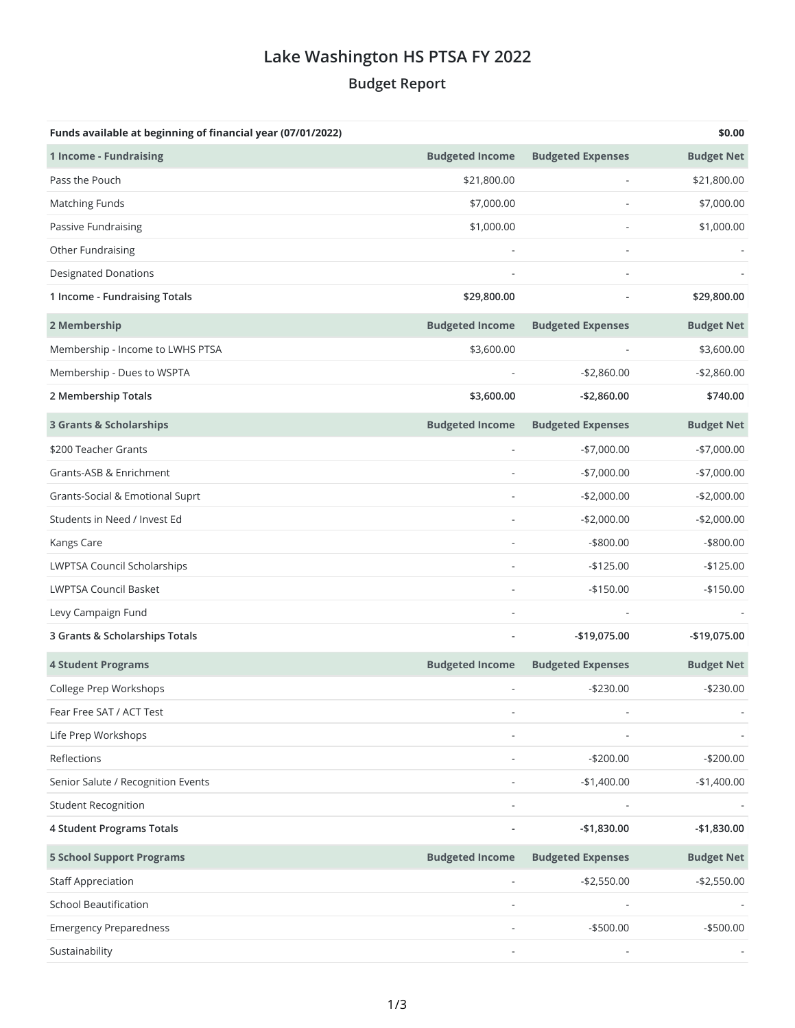## **Lake Washington HS PTSA FY 2022 Budget Report**

| Funds available at beginning of financial year (07/01/2022) |                        |                          | \$0.00            |
|-------------------------------------------------------------|------------------------|--------------------------|-------------------|
| 1 Income - Fundraising                                      | <b>Budgeted Income</b> | <b>Budgeted Expenses</b> | <b>Budget Net</b> |
| Pass the Pouch                                              | \$21,800.00            |                          | \$21,800.00       |
| Matching Funds                                              | \$7,000.00             |                          | \$7,000.00        |
| Passive Fundraising                                         | \$1,000.00             |                          | \$1,000.00        |
| Other Fundraising                                           |                        | ä,                       |                   |
| <b>Designated Donations</b>                                 |                        |                          |                   |
| 1 Income - Fundraising Totals                               | \$29,800.00            |                          | \$29,800.00       |
| 2 Membership                                                | <b>Budgeted Income</b> | <b>Budgeted Expenses</b> | <b>Budget Net</b> |
| Membership - Income to LWHS PTSA                            | \$3,600.00             |                          | \$3,600.00        |
| Membership - Dues to WSPTA                                  |                        | $-$2,860.00$             | $-$2,860.00$      |
| 2 Membership Totals                                         | \$3,600.00             | $-$2,860.00$             | \$740.00          |
| <b>3 Grants &amp; Scholarships</b>                          | <b>Budgeted Income</b> | <b>Budgeted Expenses</b> | <b>Budget Net</b> |
| \$200 Teacher Grants                                        |                        | $-$7,000.00$             | $-$7,000.00$      |
| Grants-ASB & Enrichment                                     |                        | $-$7,000.00$             | $-$7,000.00$      |
| Grants-Social & Emotional Suprt                             |                        | $-$2,000.00$             | $-$2,000.00$      |
| Students in Need / Invest Ed                                |                        | $-$2,000.00$             | $-$2,000.00$      |
| Kangs Care                                                  |                        | $-$ \$800.00             | $-$ \$800.00      |
| LWPTSA Council Scholarships                                 |                        | $-$125.00$               | $-$125.00$        |
| <b>LWPTSA Council Basket</b>                                |                        | $-$150.00$               | $-$150.00$        |
| Levy Campaign Fund                                          |                        |                          |                   |
| 3 Grants & Scholarships Totals                              |                        | $-$19,075.00$            | -\$19,075.00      |
| <b>4 Student Programs</b>                                   | <b>Budgeted Income</b> | <b>Budgeted Expenses</b> | <b>Budget Net</b> |
| College Prep Workshops                                      |                        | $-$230.00$               | $-$230.00$        |
| Fear Free SAT / ACT Test                                    |                        |                          |                   |
| Life Prep Workshops                                         |                        |                          |                   |
| Reflections                                                 |                        | $-$200.00$               | $-$200.00$        |
| Senior Salute / Recognition Events                          |                        | $-$1,400.00$             | $-$1,400.00$      |
| <b>Student Recognition</b>                                  |                        |                          |                   |
| 4 Student Programs Totals                                   |                        | $-$1,830.00$             | $-$1,830.00$      |
| <b>5 School Support Programs</b>                            | <b>Budgeted Income</b> | <b>Budgeted Expenses</b> | <b>Budget Net</b> |
| <b>Staff Appreciation</b>                                   |                        | $-$ \$2,550.00           | $-$2,550.00$      |
| <b>School Beautification</b>                                |                        |                          |                   |
| <b>Emergency Preparedness</b>                               |                        | $-$500.00$               | $-$500.00$        |
| Sustainability                                              |                        |                          |                   |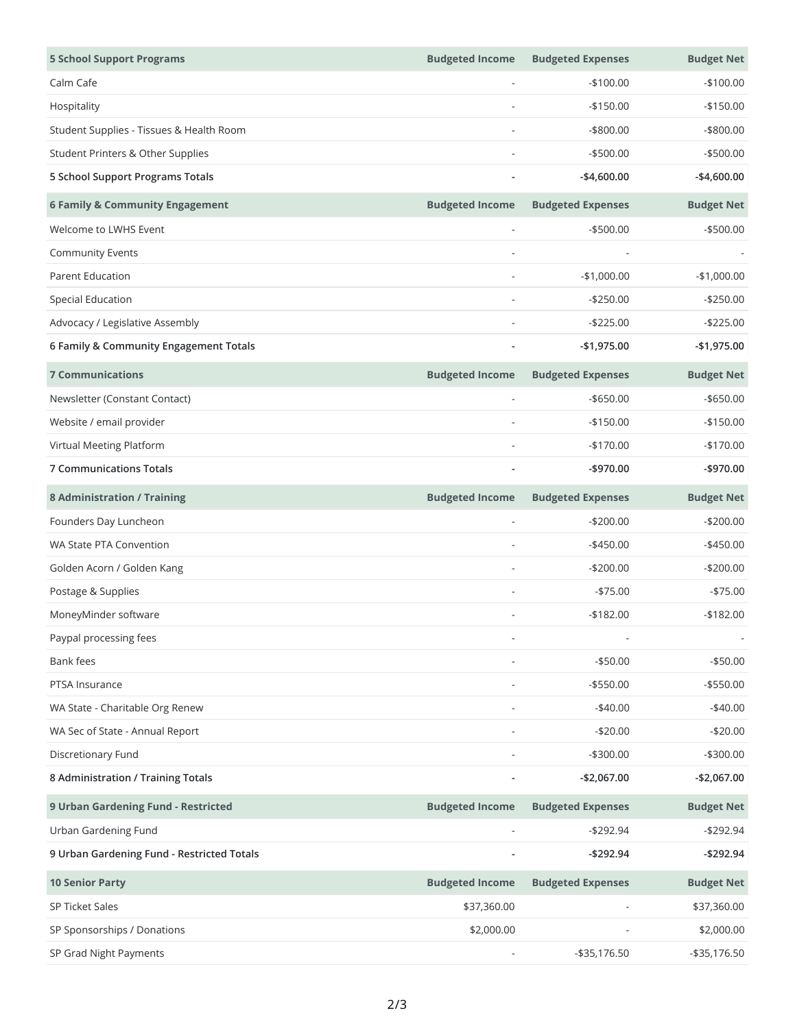| <b>5 School Support Programs</b>           | <b>Budgeted Income</b> | <b>Budgeted Expenses</b> | <b>Budget Net</b> |
|--------------------------------------------|------------------------|--------------------------|-------------------|
| Calm Cafe                                  |                        | $-$100.00$               | $-$100.00$        |
| Hospitality                                |                        | $-$150.00$               | $-$150.00$        |
| Student Supplies - Tissues & Health Room   |                        | $-$ \$800.00             | $-$ \$800.00      |
| Student Printers & Other Supplies          |                        | $-$500.00$               | $-$500.00$        |
| 5 School Support Programs Totals           |                        | $-$4,600.00$             | $-$4,600.00$      |
| <b>6 Family &amp; Community Engagement</b> | <b>Budgeted Income</b> | <b>Budgeted Expenses</b> | <b>Budget Net</b> |
| Welcome to LWHS Event                      |                        | $-$ \$500.00             | $-$500.00$        |
| <b>Community Events</b>                    |                        |                          |                   |
| <b>Parent Education</b>                    |                        | $-$1,000.00$             | $-$1,000.00$      |
| <b>Special Education</b>                   |                        | $-$250.00$               | $-$250.00$        |
| Advocacy / Legislative Assembly            |                        | $-$ \$225.00             | $-$225.00$        |
| 6 Family & Community Engagement Totals     |                        | $-$1,975.00$             | $-$1,975.00$      |
| <b>7 Communications</b>                    | <b>Budgeted Income</b> | <b>Budgeted Expenses</b> | <b>Budget Net</b> |
| Newsletter (Constant Contact)              |                        | $-$ \$650.00             | $-$ \$650.00      |
| Website / email provider                   |                        | $-$150.00$               | $-$150.00$        |
| Virtual Meeting Platform                   |                        | $-$170.00$               | $-$170.00$        |
| <b>7 Communications Totals</b>             |                        | $-$ \$970.00             | -\$970.00         |
| <b>8 Administration / Training</b>         | <b>Budgeted Income</b> | <b>Budgeted Expenses</b> | <b>Budget Net</b> |
| Founders Day Luncheon                      |                        | $-$200.00$               | $-$200.00$        |
| WA State PTA Convention                    |                        | $-$450.00$               | $-$450.00$        |
| Golden Acorn / Golden Kang                 | L,                     | $-$200.00$               | $-$200.00$        |
| Postage & Supplies                         |                        | $-575.00$                | $-$75.00$         |
| MoneyMinder software                       |                        | $-$182.00$               | $-$182.00$        |
| Paypal processing fees                     |                        |                          |                   |
| Bank fees                                  |                        | $- $50.00$               | $- $50.00$        |
| PTSA Insurance                             |                        | $-$ \$550.00             | $- $550.00$       |
| WA State - Charitable Org Renew            |                        | $-$40.00$                | $-$40.00$         |
| WA Sec of State - Annual Report            |                        | $-$20.00$                | $-$20.00$         |
| Discretionary Fund                         |                        | $-$300.00$               | $-$300.00$        |
| 8 Administration / Training Totals         |                        | $-$2,067.00$             | $-$2,067.00$      |
| 9 Urban Gardening Fund - Restricted        | <b>Budgeted Income</b> | <b>Budgeted Expenses</b> | <b>Budget Net</b> |
| Urban Gardening Fund                       |                        | $-$292.94$               | $-$292.94$        |
| 9 Urban Gardening Fund - Restricted Totals |                        | $-$292.94$               | $-$292.94$        |
| <b>10 Senior Party</b>                     | <b>Budgeted Income</b> | <b>Budgeted Expenses</b> | <b>Budget Net</b> |
| SP Ticket Sales                            | \$37,360.00            |                          | \$37,360.00       |
| SP Sponsorships / Donations                | \$2,000.00             |                          | \$2,000.00        |
| SP Grad Night Payments                     |                        | $-$ \$35,176.50          | $-$ \$35,176.50   |